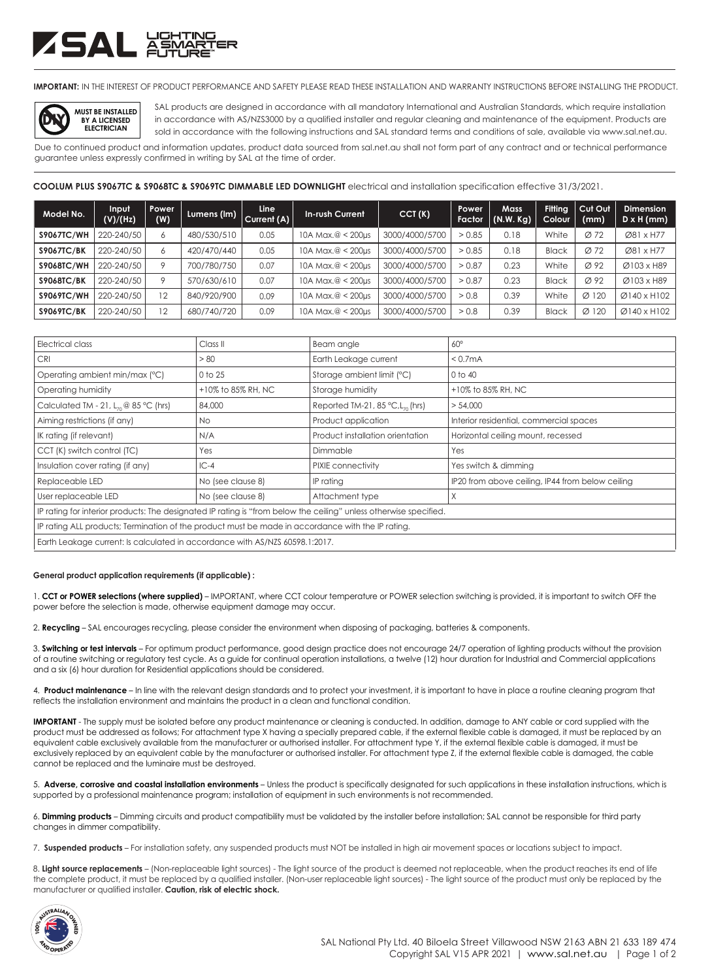# ZSAL ÄŠ

**IMPORTANT:** IN THE INTEREST OF PRODUCT PERFORMANCE AND SAFETY PLEASE READ THESE INSTALLATION AND WARRANTY INSTRUCTIONS BEFORE INSTALLING THE PRODUCT.



SAL products are designed in accordance with all mandatory International and Australian Standards, which require installation in accordance with AS/NZS3000 by a qualified installer and regular cleaning and maintenance of the equipment. Products are sold in accordance with the following instructions and SAL standard terms and conditions of sale, available via www.sal.net.au.

Due to continued product and information updates, product data sourced from sal.net.au shall not form part of any contract and or technical performance guarantee unless expressly confirmed in writing by SAL at the time of order.

### **COOLUM PLUS S9067TC & S9068TC & S9069TC DIMMABLE LED DOWNLIGHT** electrical and installation specification effective 31/3/2021.

| Model No.         | Input<br>(V)/(Hz) | Power<br>(W) | Lumens (lm) | <b>Line</b><br>Current (A) | <b>In-rush Current</b>  | CCT(K)         | Power<br><b>Factor</b> | <b>Mass</b><br>(N.W. Kg) | <b>Fitting</b><br>Colour | Cut Out<br>(mm)   | <b>Dimension</b><br>$D \times H$ (mm) |
|-------------------|-------------------|--------------|-------------|----------------------------|-------------------------|----------------|------------------------|--------------------------|--------------------------|-------------------|---------------------------------------|
| <b>S9067TC/WH</b> | 220-240/50        | 6            | 480/530/510 | 0.05                       | 10A Max, $@ < 200$ µs   | 3000/4000/5700 | > 0.85                 | 0.18                     | White                    | $\varnothing$ 72  | Ø81 x H77                             |
| <b>S9067TC/BK</b> | 220-240/50        | Ô            | 420/470/440 | 0.05                       | 10A Max, $@ < 200$ µs   | 3000/4000/5700 | > 0.85                 | 0.18                     | <b>Black</b>             | $\varnothing$ 72  | Ø81 x H77                             |
| <b>S9068TC/WH</b> | 220-240/50        | o            | 700/780/750 | 0.07                       | $10A$ Max, $@ < 200$ µs | 3000/4000/5700 | > 0.87                 | 0.23                     | White                    | $\varnothing$ 92  | Ø103 x H89                            |
| <b>S9068TC/BK</b> | 220-240/50        | o            | 570/630/610 | 0.07                       | 10A Max, $@ < 200$ µs   | 3000/4000/5700 | > 0.87                 | 0.23                     | <b>Black</b>             | Ø 92              | Ø103 x H89                            |
| <b>S9069TC/WH</b> | 220-240/50        | 12           | 840/920/900 | 0.09                       | 10A Max, $@ < 200$ µs   | 3000/4000/5700 | > 0.8                  | 0.39                     | White                    | $\varnothing$ 120 | $Ø$ 140 x H102                        |
| <b>S9069TC/BK</b> | 220-240/50        | 12           | 680/740/720 | 0.09                       | $10A$ Max. $@ < 200$ us | 3000/4000/5700 | > 0.8                  | 0.39                     | <b>Black</b>             | $\varnothing$ 120 | $Ø$ 140 x H102                        |

| Electrical class                                                                                                  | Class II           | Beam angle                                      | $60^\circ$                                       |  |  |  |
|-------------------------------------------------------------------------------------------------------------------|--------------------|-------------------------------------------------|--------------------------------------------------|--|--|--|
| <b>CRI</b>                                                                                                        | > 80               | Earth Leakage current                           | < 0.7 <sub>m</sub> A                             |  |  |  |
| Operating ambient min/max (°C)                                                                                    | 0 to 25            | Storage ambient limit (°C)                      | 0 to 40                                          |  |  |  |
| Operating humidity                                                                                                | +10% to 85% RH, NC | Storage humidity                                | +10% to 85% RH, NC                               |  |  |  |
| Calculated TM - 21, $L_{70}$ @ 85 °C (hrs)                                                                        | 84,000             | Reported TM-21, 85 $°C$ , L <sub>70</sub> (hrs) | > 54,000                                         |  |  |  |
| Aiming restrictions (if any)                                                                                      | No.                | Product application                             | Interior residential, commercial spaces          |  |  |  |
| IK rating (if relevant)                                                                                           | N/A                | Product installation orientation                | Horizontal ceiling mount, recessed               |  |  |  |
| CCT (K) switch control (TC)                                                                                       | Yes                | Dimmable                                        | Yes                                              |  |  |  |
| Insulation cover rating (if any)                                                                                  | $IC-4$             | PIXIE connectivity                              | Yes switch & dimming                             |  |  |  |
| Replaceable LED                                                                                                   | No (see clause 8)  | IP rating                                       | IP20 from above ceiling, IP44 from below ceiling |  |  |  |
| User replaceable LED                                                                                              | No (see clause 8)  | Attachment type                                 | X                                                |  |  |  |
| IP rating for interior products: The designated IP rating is "from below the ceiling" unless otherwise specified. |                    |                                                 |                                                  |  |  |  |
| IP rating ALL products; Termination of the product must be made in accordance with the IP rating.                 |                    |                                                 |                                                  |  |  |  |
| Earth Leakage current: Is calculated in accordance with AS/NZS 60598.1:2017.                                      |                    |                                                 |                                                  |  |  |  |

#### **General product application requirements (if applicable) :**

1. **CCT or POWER selections (where supplied)** – IMPORTANT, where CCT colour temperature or POWER selection switching is provided, it is important to switch OFF the power before the selection is made, otherwise equipment damage may occur.

2. **Recycling** – SAL encourages recycling, please consider the environment when disposing of packaging, batteries & components.

3. **Switching or test intervals** – For optimum product performance, good design practice does not encourage 24/7 operation of lighting products without the provision of a routine switching or regulatory test cycle. As a guide for continual operation installations, a twelve (12) hour duration for Industrial and Commercial applications and a six (6) hour duration for Residential applications should be considered.

4. **Product maintenance** – In line with the relevant design standards and to protect your investment, it is important to have in place a routine cleaning program that reflects the installation environment and maintains the product in a clean and functional condition.

**IMPORTANT** - The supply must be isolated before any product maintenance or cleaning is conducted. In addition, damage to ANY cable or cord supplied with the product must be addressed as follows; For attachment type X having a specially prepared cable, if the external flexible cable is damaged, it must be replaced by an equivalent cable exclusively available from the manufacturer or authorised installer. For attachment type Y, if the external flexible cable is damaged, it must be exclusively replaced by an equivalent cable by the manufacturer or authorised installer. For attachment type Z, if the external flexible cable is damaged, the cable cannot be replaced and the luminaire must be destroyed.

5. **Adverse, corrosive and coastal installation environments** – Unless the product is specifically designated for such applications in these installation instructions, which is supported by a professional maintenance program; installation of equipment in such environments is not recommended.

6. **Dimming products** – Dimming circuits and product compatibility must be validated by the installer before installation; SAL cannot be responsible for third party changes in dimmer compatibility.

7. **Suspended products** – For installation safety, any suspended products must NOT be installed in high air movement spaces or locations subject to impact.

8. Light source replacements - (Non-replaceable light sources) - The light source of the product is deemed not replaceable, when the product reaches its end of life the complete product, it must be replaced by a qualified installer. (Non-user replaceable light sources) - The light source of the product must only be replaced by the manufacturer or qualified installer. **Caution, risk of electric shock.**